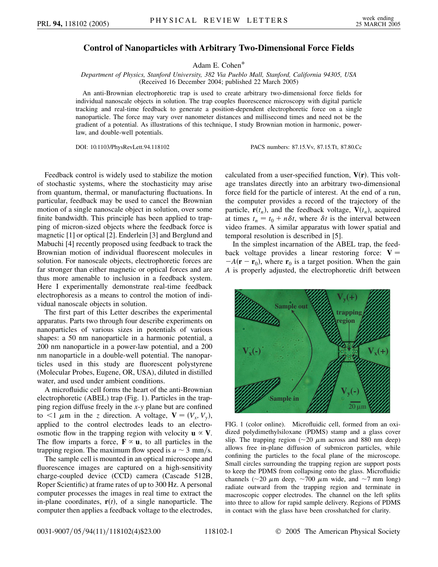## **Control of Nanoparticles with Arbitrary Two-Dimensional Force Fields**

Adam E. Cohen\*

*Department of Physics, Stanford University, 382 Via Pueblo Mall, Stanford, California 94305, USA* (Received 16 December 2004; published 22 March 2005)

An anti-Brownian electrophoretic trap is used to create arbitrary two-dimensional force fields for individual nanoscale objects in solution. The trap couples fluorescence microscopy with digital particle tracking and real-time feedback to generate a position-dependent electrophoretic force on a single nanoparticle. The force may vary over nanometer distances and millisecond times and need not be the gradient of a potential. As illustrations of this technique, I study Brownian motion in harmonic, powerlaw, and double-well potentials.

DOI: 10.1103/PhysRevLett.94.118102 PACS numbers: 87.15.Vv, 87.15.Tt, 87.80.Cc

Feedback control is widely used to stabilize the motion of stochastic systems, where the stochasticity may arise from quantum, thermal, or manufacturing fluctuations. In particular, feedback may be used to cancel the Brownian motion of a single nanoscale object in solution, over some finite bandwidth. This principle has been applied to trapping of micron-sized objects where the feedback force is magnetic [1] or optical [2]. Enderlein [3] and Berglund and Mabuchi [4] recently proposed using feedback to track the Brownian motion of individual fluorescent molecules in solution. For nanoscale objects, electrophoretic forces are far stronger than either magnetic or optical forces and are thus more amenable to inclusion in a feedback system. Here I experimentally demonstrate real-time feedback electrophoresis as a means to control the motion of individual nanoscale objects in solution.

The first part of this Letter describes the experimental apparatus. Parts two through four describe experiments on nanoparticles of various sizes in potentials of various shapes: a 50 nm nanoparticle in a harmonic potential, a 200 nm nanoparticle in a power-law potential, and a 200 nm nanoparticle in a double-well potential. The nanoparticles used in this study are fluorescent polystyrene (Molecular Probes, Eugene, OR, USA), diluted in distilled water, and used under ambient conditions.

A microfluidic cell forms the heart of the anti-Brownian electrophoretic (ABEL) trap (Fig. 1). Particles in the trapping region diffuse freely in the *x*-*y* plane but are confined to  $\lt 1$   $\mu$ m in the *z* direction. A voltage,  $\mathbf{V} = (V_x, V_y)$ , applied to the control electrodes leads to an electroosmotic flow in the trapping region with velocity  $\mathbf{u} \propto \mathbf{V}$ . The flow imparts a force,  $\mathbf{F} \propto \mathbf{u}$ , to all particles in the trapping region. The maximum flow speed is  $u \sim 3$  mm/s.

The sample cell is mounted in an optical microscope and fluorescence images are captured on a high-sensitivity charge-coupled device (CCD) camera (Cascade 512B, Roper Scientific) at frame rates of up to 300 Hz. A personal computer processes the images in real time to extract the in-plane coordinates,  $\mathbf{r}(t)$ , of a single nanoparticle. The computer then applies a feedback voltage to the electrodes,

calculated from a user-specified function,  $V(r)$ . This voltage translates directly into an arbitrary two-dimensional force field for the particle of interest. At the end of a run, the computer provides a record of the trajectory of the particle,  $\mathbf{r}(t_n)$ , and the feedback voltage,  $\mathbf{V}(t_n)$ , acquired at times  $t_n = t_0 + n\delta t$ , where  $\delta t$  is the interval between video frames. A similar apparatus with lower spatial and temporal resolution is described in [5].

In the simplest incarnation of the ABEL trap, the feedback voltage provides a linear restoring force:  $V =$  $-A(\mathbf{r}-\mathbf{r}_0)$ , where  $\mathbf{r}_0$  is a target position. When the gain *A* is properly adjusted, the electrophoretic drift between



FIG. 1 (color online). Microfluidic cell, formed from an oxidized polydimethylsiloxane (PDMS) stamp and a glass cover slip. The trapping region ( $\sim$ 20  $\mu$ m across and 880 nm deep) allows free in-plane diffusion of submicron particles, while confining the particles to the focal plane of the microscope. Small circles surrounding the trapping region are support posts to keep the PDMS from collapsing onto the glass. Microfluidic channels ( $\sim$ 20  $\mu$ m deep,  $\sim$ 700  $\mu$ m wide, and  $\sim$ 7 mm long) radiate outward from the trapping region and terminate in macroscopic copper electrodes. The channel on the left splits into three to allow for rapid sample delivery. Regions of PDMS in contact with the glass have been crosshatched for clarity.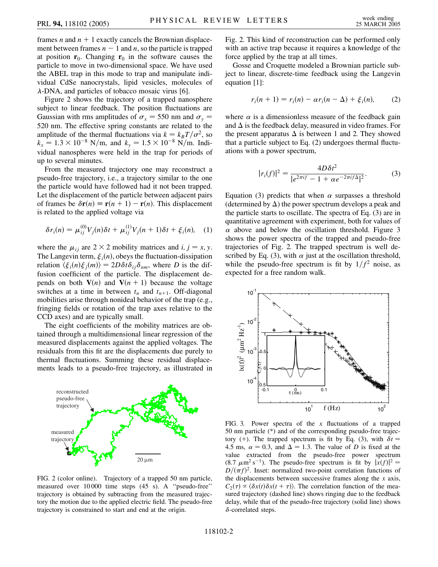frames *n* and  $n + 1$  exactly cancels the Brownian displacement between frames  $n - 1$  and *n*, so the particle is trapped at position  $\mathbf{r}_0$ . Changing  $\mathbf{r}_0$  in the software causes the particle to move in two-dimensional space. We have used the ABEL trap in this mode to trap and manipulate individual CdSe nanocrystals, lipid vesicles, molecules of  $\lambda$ -DNA, and particles of tobacco mosaic virus [6].

Figure 2 shows the trajectory of a trapped nanosphere subject to linear feedback. The position fluctuations are Gaussian with rms amplitudes of  $\sigma_x = 550$  nm and  $\sigma_y =$ 520 nm. The effective spring constants are related to the amplitude of the thermal fluctuations via  $k = k_B T / \sigma^2$ , so  $k_x = 1.3 \times 10^{-8}$  N/m, and  $k_y = 1.5 \times 10^{-8}$  N/m. Individual nanospheres were held in the trap for periods of up to several minutes.

From the measured trajectory one may reconstruct a pseudo-free trajectory, i.e., a trajectory similar to the one the particle would have followed had it not been trapped. Let the displacement of the particle between adjacent pairs of frames be  $\delta \mathbf{r}(n) \equiv \mathbf{r}(n+1) - \mathbf{r}(n)$ . This displacement is related to the applied voltage via

$$
\delta r_i(n) = \mu_{ij}^{(0)} V_j(n) \delta t + \mu_{ij}^{(1)} V_j(n+1) \delta t + \xi_i(n), \quad (1)
$$

where the  $\mu_{ij}$  are 2  $\times$  2 mobility matrices and *i*, *j* = *x*, *y*. The Langevin term,  $\xi_i(n)$ , obeys the fluctuation-dissipation relation  $\langle \xi_i(n)\xi_j(m)\rangle = 2D\delta t \delta_{ij}\delta_{nm}$ , where *D* is the diffusion coefficient of the particle. The displacement depends on both  $V(n)$  and  $V(n + 1)$  because the voltage switches at a time in between  $t_n$  and  $t_{n+1}$ . Off-diagonal mobilities arise through nonideal behavior of the trap (e.g., fringing fields or rotation of the trap axes relative to the CCD axes) and are typically small.

The eight coefficients of the mobility matrices are obtained through a multidimensional linear regression of the measured displacements against the applied voltages. The residuals from this fit are the displacements due purely to thermal fluctuations. Summing these residual displacements leads to a pseudo-free trajectory, as illustrated in



FIG. 2 (color online). Trajectory of a trapped 50 nm particle, measured over 10 000 time steps (45 s). A ''pseudo-free'' trajectory is obtained by subtracting from the measured trajectory the motion due to the applied electric field. The pseudo-free trajectory is constrained to start and end at the origin.

Fig. 2. This kind of reconstruction can be performed only with an active trap because it requires a knowledge of the force applied by the trap at all times.

Gosse and Croquette modeled a Brownian particle subject to linear, discrete-time feedback using the Langevin equation [1]:

$$
r_i(n + 1) = r_i(n) - \alpha r_i(n - \Delta) + \xi_i(n),
$$
 (2)

where  $\alpha$  is a dimensionless measure of the feedback gain and  $\Delta$  is the feedback delay, measured in video frames. For the present apparatus  $\Delta$  is between 1 and 2. They showed that a particle subject to Eq. (2) undergoes thermal fluctuations with a power spectrum,

$$
|r_i(f)|^2 = \frac{4D\delta t^2}{|e^{2\pi i f} - 1 + \alpha e^{-2\pi i f \Delta}|^2}.
$$
 (3)

Equation (3) predicts that when  $\alpha$  surpasses a threshold (determined by  $\Delta$ ) the power spectrum develops a peak and the particle starts to oscillate. The spectra of Eq. (3) are in quantitative agreement with experiment, both for values of  $\alpha$  above and below the oscillation threshold. Figure 3 shows the power spectra of the trapped and pseudo-free trajectories of Fig. 2. The trapped spectrum is well described by Eq. (3), with  $\alpha$  just at the oscillation threshold, while the pseudo-free spectrum is fit by  $1/f^2$  noise, as expected for a free random walk.



FIG. 3. Power spectra of the *x* fluctuations of a trapped 50 nm particle (\*) and of the corresponding pseudo-free trajectory (+). The trapped spectrum is fit by Eq. (3), with  $\delta t =$ 4.5 ms,  $\alpha = 0.3$ , and  $\Delta = 1.3$ . The value of *D* is fixed at the value extracted from the pseudo-free power spectrum  $(8.7 \mu \text{m}^2 \text{ s}^{-1})$ . The pseudo-free spectrum is fit by  $|x(f)|^2 =$  $D/(\pi f)^2$ . Inset: normalized two-point correlation functions of the displacements between successive frames along the *x* axis,  $C_2(\tau) \propto \langle \delta x(t) \delta x(t+\tau) \rangle$ . The correlation function of the measured trajectory (dashed line) shows ringing due to the feedback delay, while that of the pseudo-free trajectory (solid line) shows -correlated steps.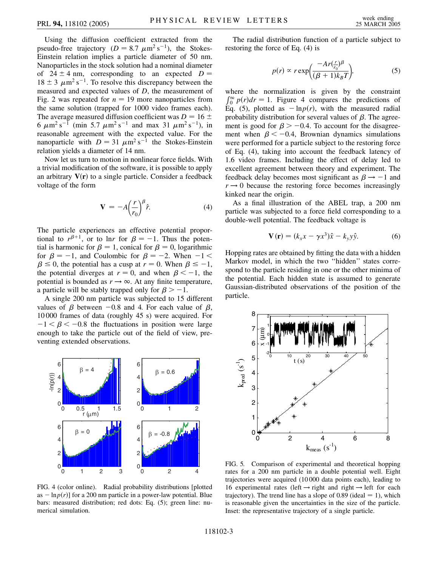Using the diffusion coefficient extracted from the pseudo-free trajectory ( $D = 8.7 \mu m^2 s^{-1}$ ), the Stokes-Einstein relation implies a particle diameter of 50 nm. Nanoparticles in the stock solution had a nominal diameter of  $24 \pm 4$  nm, corresponding to an expected  $D =$  $18 \pm 3 \ \mu \text{m}^2 \text{ s}^{-1}$ . To resolve this discrepancy between the measured and expected values of *D*, the measurement of Fig. 2 was repeated for  $n = 19$  more nanoparticles from the same solution (trapped for 1000 video frames each). The average measured diffusion coefficient was  $D = 16 \pm$ 6  $\mu$ m<sup>2</sup> s<sup>-1</sup> (min 5.7  $\mu$ m<sup>2</sup> s<sup>-1</sup> and max 31  $\mu$ m<sup>2</sup> s<sup>-1</sup>), in reasonable agreement with the expected value. For the nanoparticle with  $D = 31 \mu m^2 s^{-1}$  the Stokes-Einstein relation yields a diameter of 14 nm.

Now let us turn to motion in nonlinear force fields. With a trivial modification of the software, it is possible to apply an arbitrary  $V(r)$  to a single particle. Consider a feedback voltage of the form

$$
\mathbf{V} = -A \Big(\frac{r}{r_0}\Big)^{\beta} \hat{r}.\tag{4}
$$

The particle experiences an effective potential proportional to  $r^{\beta+1}$ , or to lnr for  $\beta = -1$ . Thus the potential is harmonic for  $\beta = 1$ , conical for  $\beta = 0$ , logarithmic for  $\beta = -1$ , and Coulombic for  $\beta = -2$ . When  $-1 <$  $\beta \leq 0$ , the potential has a cusp at  $r = 0$ . When  $\beta \leq -1$ , the potential diverges at  $r = 0$ , and when  $\beta < -1$ , the potential is bounded as  $r \rightarrow \infty$ . At any finite temperature, a particle will be stably trapped only for  $\beta > -1$ .

A single 200 nm particle was subjected to 15 different values of  $\beta$  between -0.8 and 4. For each value of  $\beta$ , 10 000 frames of data (roughly 45 s) were acquired. For  $-1 < \beta < -0.8$  the fluctuations in position were large enough to take the particle out of the field of view, preventing extended observations.



FIG. 4 (color online). Radial probability distributions [plotted as  $-\ln p(r)$  for a 200 nm particle in a power-law potential. Blue bars: measured distribution; red dots: Eq. (5); green line: numerical simulation.

The radial distribution function of a particle subject to restoring the force of Eq. (4) is

$$
p(r) \propto r \exp\biggl(\frac{-Ar(\frac{r}{r_0})^{\beta}}{(\beta+1)k_BT}\biggr),\tag{5}
$$

where the normalization is given by the constraint  $\int_0^\infty p(r) dr = 1$ . Figure 4 compares the predictions of Eq. (5), plotted as  $-\ln p(r)$ , with the measured radial probability distribution for several values of  $\beta$ . The agreement is good for  $\beta$  > -0.4. To account for the disagreement when  $\beta < -0.4$ , Brownian dynamics simulations were performed for a particle subject to the restoring force of Eq. (4), taking into account the feedback latency of 1.6 video frames. Including the effect of delay led to excellent agreement between theory and experiment. The feedback delay becomes most significant as  $\beta \rightarrow -1$  and  $r \rightarrow 0$  because the restoring force becomes increasingly kinked near the origin.

As a final illustration of the ABEL trap, a 200 nm particle was subjected to a force field corresponding to a double-well potential. The feedback voltage is

$$
\mathbf{V}(\mathbf{r}) = (k_x x - \gamma x^3)\hat{x} - k_y y \hat{y}.
$$
 (6)

Hopping rates are obtained by fitting the data with a hidden Markov model, in which the two ''hidden'' states correspond to the particle residing in one or the other minima of the potential. Each hidden state is assumed to generate Gaussian-distributed observations of the position of the particle.



FIG. 5. Comparison of experimental and theoretical hopping rates for a 200 nm particle in a double potential well. Eight trajectories were acquired (10 000 data points each), leading to 16 experimental rates (left  $\rightarrow$  right and right  $\rightarrow$  left for each trajectory). The trend line has a slope of  $0.89$  (ideal  $= 1$ ), which is reasonable given the uncertainties in the size of the particle. Inset: the representative trajectory of a single particle.